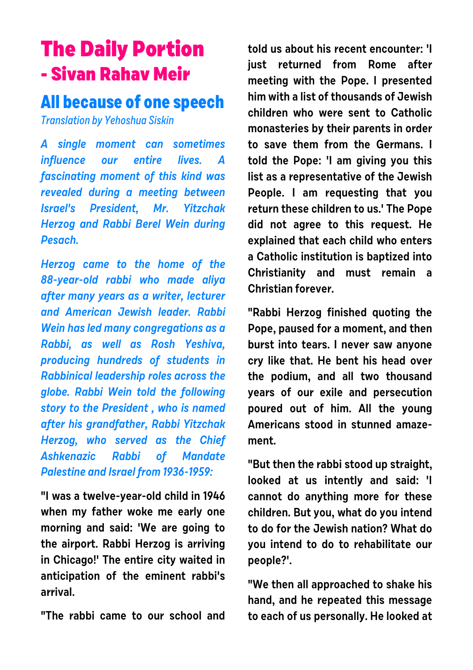## **The Daily Portion - Sivan Rahav Meir**

## **All because of one speech**

Translation by Yehoshua Siskin

**A single moment can sometimes influence our entire lives. A fascinating moment of this kind was revealed during a meeting between Israel's President, Mr. Yitzchak Herzog and Rabbi Berel Wein during Pesach.** 

**Herzog came to the home of the 88-year-old rabbi who made aliya after many years as a writer, lecturer and American Jewish leader. Rabbi Wein has led many congregations as a Rabbi, as well as Rosh Yeshiva, producing hundreds of students in Rabbinical leadership roles across the globe. Rabbi Wein told the following story to the President , who is named after his grandfather, Rabbi Yitzchak Herzog, who served as the Chief Ashkenazic Rabbi of Mandate Palestine and Israel from 1936-1959:**

**"I was a twelve-year-old child in 1946 when my father woke me early one morning and said: 'We are going to the airport. Rabbi Herzog is arriving in Chicago!' The entire city waited in anticipation of the eminent rabbi's arrival.**

**"The rabbi came to our school and**

**told us about his recent encounter: 'I just returned from Rome after meeting with the Pope. I presented him with a list of thousands of Jewish children who were sent to Catholic monasteries by their parents in order to save them from the Germans. I told the Pope: 'I am giving you this list as a representative of the Jewish People. I am requesting that you return these children to us.' The Pope did not agree to this request. He explained that each child who enters a Catholic institution is baptized into Christianity and must remain a Christian forever.** 

**"Rabbi Herzog finished quoting the Pope, paused for a moment, and then burst into tears. I never saw anyone cry like that. He bent his head over the podium, and all two thousand years of our exile and persecution poured out of him. All the young Americans stood in stunned amazement.**

**"But then the rabbi stood up straight, looked at us intently and said: 'I cannot do anything more for these children. But you, what do you intend to do for the Jewish nation? What do you intend to do to rehabilitate our people?'.**

**"We then all approached to shake his hand, and he repeated this message to each of us personally. He looked at**